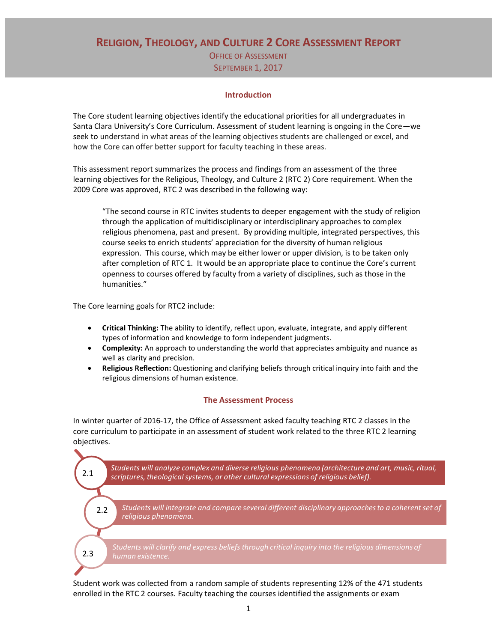**RELIGION, THEOLOGY, AND CULTURE 2 CORE ASSESSMENT REPORT** OFFICE OF ASSESSMENT

SEPTEMBER 1, 2017

### **Introduction**

The Core student learning objectives identify the educational priorities for all undergraduates in Santa Clara University's Core Curriculum. Assessment of student learning is ongoing in the Core—we seek to understand in what areas of the learning objectives students are challenged or excel, and how the Core can offer better support for faculty teaching in these areas.

This assessment report summarizes the process and findings from an assessment of the three learning objectives for the Religious, Theology, and Culture 2 (RTC 2) Core requirement. When the 2009 Core was approved, RTC 2 was described in the following way:

"The second course in RTC invites students to deeper engagement with the study of religion through the application of multidisciplinary or interdisciplinary approaches to complex religious phenomena, past and present. By providing multiple, integrated perspectives, this course seeks to enrich students' appreciation for the diversity of human religious expression. This course, which may be either lower or upper division, is to be taken only after completion of RTC 1. It would be an appropriate place to continue the Core's current openness to courses offered by faculty from a variety of disciplines, such as those in the humanities."

The Core learning goals for RTC2 include:

- **Critical Thinking:** The ability to identify, reflect upon, evaluate, integrate, and apply different types of information and knowledge to form independent judgments.
- **Complexity:** An approach to understanding the world that appreciates ambiguity and nuance as well as clarity and precision.
- **Religious Reflection:** Questioning and clarifying beliefs through critical inquiry into faith and the religious dimensions of human existence.

### **The Assessment Process**

In winter quarter of 2016-17, the Office of Assessment asked faculty teaching RTC 2 classes in the core curriculum to participate in an assessment of student work related to the three RTC 2 learning objectives.



Student work was collected from a random sample of students representing 12% of the 471 students enrolled in the RTC 2 courses. Faculty teaching the courses identified the assignments or exam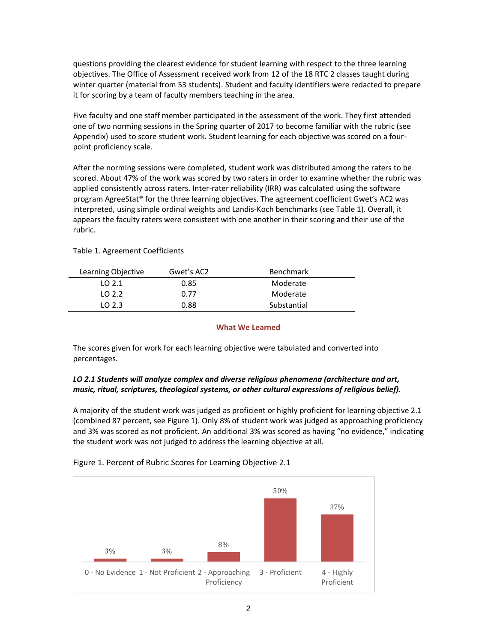questions providing the clearest evidence for student learning with respect to the three learning objectives. The Office of Assessment received work from 12 of the 18 RTC 2 classes taught during winter quarter (material from 53 students). Student and faculty identifiers were redacted to prepare it for scoring by a team of faculty members teaching in the area.

Five faculty and one staff member participated in the assessment of the work. They first attended one of two norming sessions in the Spring quarter of 2017 to become familiar with the rubric (see Appendix) used to score student work. Student learning for each objective was scored on a fourpoint proficiency scale.

After the norming sessions were completed, student work was distributed among the raters to be scored. About 47% of the work was scored by two raters in order to examine whether the rubric was applied consistently across raters. Inter-rater reliability (IRR) was calculated using the software program AgreeStat® for the three learning objectives. The agreement coefficient Gwet's AC2 was interpreted, using simple ordinal weights and Landis-Koch benchmarks (see Table 1). Overall, it appears the faculty raters were consistent with one another in their scoring and their use of the rubric.

| Learning Objective | Gwet's AC2 | <b>Benchmark</b> |
|--------------------|------------|------------------|
| 102.1              | 0.85       | Moderate         |
| LO 2.2             | በ 77       | Moderate         |
| 1023               | 0.88       | Substantial      |

Table 1. Agreement Coefficients

### **What We Learned**

The scores given for work for each learning objective were tabulated and converted into percentages.

## *LO 2.1 Students will analyze complex and diverse religious phenomena (architecture and art, music, ritual, scriptures, theological systems, or other cultural expressions of religious belief).*

A majority of the student work was judged as proficient or highly proficient for learning objective 2.1 (combined 87 percent, see Figure 1). Only 8% of student work was judged as approaching proficiency and 3% was scored as not proficient. An additional 3% was scored as having "no evidence," indicating the student work was not judged to address the learning objective at all.



Figure 1. Percent of Rubric Scores for Learning Objective 2.1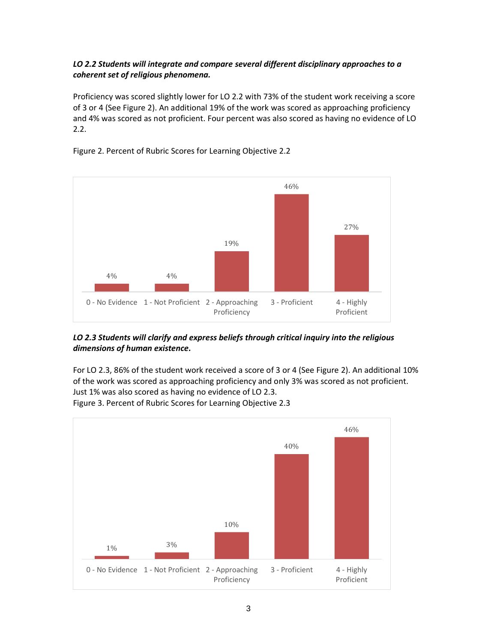# *LO 2.2 Students will integrate and compare several different disciplinary approaches to a coherent set of religious phenomena.*

Proficiency was scored slightly lower for LO 2.2 with 73% of the student work receiving a score of 3 or 4 (See Figure 2). An additional 19% of the work was scored as approaching proficiency and 4% was scored as not proficient. Four percent was also scored as having no evidence of LO 2.2.



## Figure 2. Percent of Rubric Scores for Learning Objective 2.2

### *LO 2.3 Students will clarify and express beliefs through critical inquiry into the religious dimensions of human existence.*

For LO 2.3, 86% of the student work received a score of 3 or 4 (See Figure 2). An additional 10% of the work was scored as approaching proficiency and only 3% was scored as not proficient. Just 1% was also scored as having no evidence of LO 2.3. Figure 3. Percent of Rubric Scores for Learning Objective 2.3

1% 3% 10% 40% 46% 0 - No Evidence 1 - Not Proficient 2 - Approaching Proficiency 3 - Proficient 4 - Highly Proficient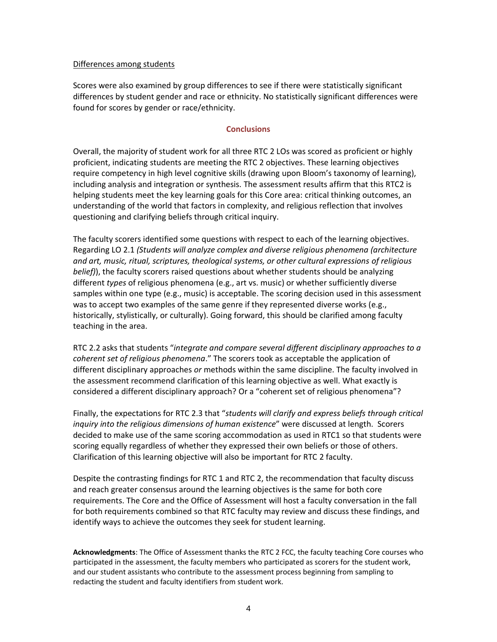### Differences among students

Scores were also examined by group differences to see if there were statistically significant differences by student gender and race or ethnicity. No statistically significant differences were found for scores by gender or race/ethnicity.

### **Conclusions**

Overall, the majority of student work for all three RTC 2 LOs was scored as proficient or highly proficient, indicating students are meeting the RTC 2 objectives. These learning objectives require competency in high level cognitive skills (drawing upon Bloom's taxonomy of learning), including analysis and integration or synthesis. The assessment results affirm that this RTC2 is helping students meet the key learning goals for this Core area: critical thinking outcomes, an understanding of the world that factors in complexity, and religious reflection that involves questioning and clarifying beliefs through critical inquiry.

The faculty scorers identified some questions with respect to each of the learning objectives. Regarding LO 2.1 *(Students will analyze complex and diverse religious phenomena (architecture and art, music, ritual, scriptures, theological systems, or other cultural expressions of religious belief)*), the faculty scorers raised questions about whether students should be analyzing different *types* of religious phenomena (e.g., art vs. music) or whether sufficiently diverse samples within one type (e.g., music) is acceptable. The scoring decision used in this assessment was to accept two examples of the same genre if they represented diverse works (e.g., historically, stylistically, or culturally). Going forward, this should be clarified among faculty teaching in the area.

RTC 2.2 asks that students "*integrate and compare several different disciplinary approaches to a coherent set of religious phenomena*." The scorers took as acceptable the application of different disciplinary approaches *or* methods within the same discipline. The faculty involved in the assessment recommend clarification of this learning objective as well. What exactly is considered a different disciplinary approach? Or a "coherent set of religious phenomena"?

Finally, the expectations for RTC 2.3 that "*students will clarify and express beliefs through critical inquiry into the religious dimensions of human existence*" were discussed at length. Scorers decided to make use of the same scoring accommodation as used in RTC1 so that students were scoring equally regardless of whether they expressed their own beliefs or those of others. Clarification of this learning objective will also be important for RTC 2 faculty.

Despite the contrasting findings for RTC 1 and RTC 2, the recommendation that faculty discuss and reach greater consensus around the learning objectives is the same for both core requirements. The Core and the Office of Assessment will host a faculty conversation in the fall for both requirements combined so that RTC faculty may review and discuss these findings, and identify ways to achieve the outcomes they seek for student learning.

**Acknowledgments**: The Office of Assessment thanks the RTC 2 FCC, the faculty teaching Core courses who participated in the assessment, the faculty members who participated as scorers for the student work, and our student assistants who contribute to the assessment process beginning from sampling to redacting the student and faculty identifiers from student work.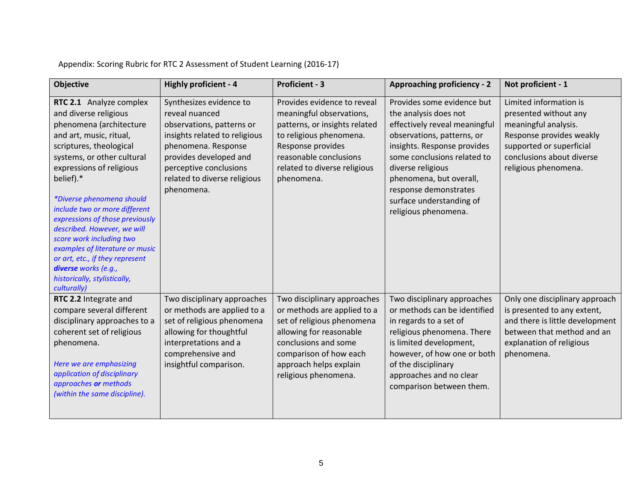Appendix: Scoring Rubric for RTC 2 Assessment of Student Learning (2016-17)

| <b>Objective</b>                                                                                                                                                                                                                                                                                                                                                                                                                                                                                                  | Highly proficient - 4                                                                                                                                                                                                            | <b>Proficient - 3</b>                                                                                                                                                                                                   | <b>Approaching proficiency - 2</b>                                                                                                                                                                                                                                                                            | Not proficient - 1                                                                                                                                                                   |
|-------------------------------------------------------------------------------------------------------------------------------------------------------------------------------------------------------------------------------------------------------------------------------------------------------------------------------------------------------------------------------------------------------------------------------------------------------------------------------------------------------------------|----------------------------------------------------------------------------------------------------------------------------------------------------------------------------------------------------------------------------------|-------------------------------------------------------------------------------------------------------------------------------------------------------------------------------------------------------------------------|---------------------------------------------------------------------------------------------------------------------------------------------------------------------------------------------------------------------------------------------------------------------------------------------------------------|--------------------------------------------------------------------------------------------------------------------------------------------------------------------------------------|
| RTC 2.1 Analyze complex<br>and diverse religious<br>phenomena (architecture<br>and art, music, ritual,<br>scriptures, theological<br>systems, or other cultural<br>expressions of religious<br>belief).*<br>*Diverse phenomena should<br>include two or more different<br>expressions of those previously<br>described. However, we will<br>score work including two<br>examples of literature or music<br>or art, etc., if they represent<br>diverse works (e.g.,<br>historically, stylistically,<br>culturally) | Synthesizes evidence to<br>reveal nuanced<br>observations, patterns or<br>insights related to religious<br>phenomena. Response<br>provides developed and<br>perceptive conclusions<br>related to diverse religious<br>phenomena. | Provides evidence to reveal<br>meaningful observations,<br>patterns, or insights related<br>to religious phenomena.<br>Response provides<br>reasonable conclusions<br>related to diverse religious<br>phenomena.        | Provides some evidence but<br>the analysis does not<br>effectively reveal meaningful<br>observations, patterns, or<br>insights. Response provides<br>some conclusions related to<br>diverse religious<br>phenomena, but overall,<br>response demonstrates<br>surface understanding of<br>religious phenomena. | Limited information is<br>presented without any<br>meaningful analysis.<br>Response provides weakly<br>supported or superficial<br>conclusions about diverse<br>religious phenomena. |
| RTC 2.2 Integrate and<br>compare several different<br>disciplinary approaches to a<br>coherent set of religious<br>phenomena.<br>Here we are emphasizing<br>application of disciplinary<br>approaches or methods<br>(within the same discipline).                                                                                                                                                                                                                                                                 | Two disciplinary approaches<br>or methods are applied to a<br>set of religious phenomena<br>allowing for thoughtful<br>interpretations and a<br>comprehensive and<br>insightful comparison.                                      | Two disciplinary approaches<br>or methods are applied to a<br>set of religious phenomena<br>allowing for reasonable<br>conclusions and some<br>comparison of how each<br>approach helps explain<br>religious phenomena. | Two disciplinary approaches<br>or methods can be identified<br>in regards to a set of<br>religious phenomena. There<br>is limited development,<br>however, of how one or both<br>of the disciplinary<br>approaches and no clear<br>comparison between them.                                                   | Only one disciplinary approach<br>is presented to any extent,<br>and there is little development<br>between that method and an<br>explanation of religious<br>phenomena.             |